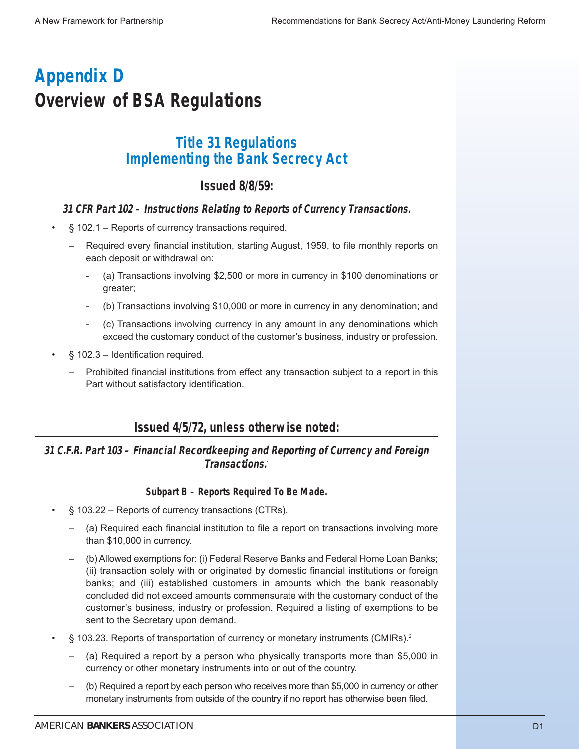# **Appendix D Overview of BSA Regulations**

# **Title 31 Regulations Implementing the Bank Secrecy Act**

# **Issued 8/8/59:**

### **31 CFR Part 102 – Instructions Relating to Reports of Currency Transactions.**

- § 102.1 Reports of currency transactions required.
	- Required every financial institution, starting August, 1959, to file monthly reports on each deposit or withdrawal on:
		- (a) Transactions involving \$2,500 or more in currency in \$100 denominations or greater;
		- (b) Transactions involving \$10,000 or more in currency in any denomination; and
		- (c) Transactions involving currency in any amount in any denominations which exceed the customary conduct of the customer's business, industry or profession.
- § 102.3 Identification required.
	- Prohibited financial institutions from effect any transaction subject to a report in this Part without satisfactory identification.

### **Issued 4/5/72, unless otherwise noted:**

### **31 C.F.R. Part 103 – Financial Recordkeeping and Reporting of Currency and Foreign Transactions.**<sup>1</sup>

#### **Subpart B – Reports Required To Be Made.**

- § 103.22 Reports of currency transactions (CTRs).
	- (a) Required each financial institution to file a report on transactions involving more than \$10,000 in currency.
	- (b) Allowed exemptions for: (i) Federal Reserve Banks and Federal Home Loan Banks; (ii) transaction solely with or originated by domestic financial institutions or foreign banks; and (iii) established customers in amounts which the bank reasonably concluded did not exceed amounts commensurate with the customary conduct of the customer's business, industry or profession. Required a listing of exemptions to be sent to the Secretary upon demand.
- § 103.23. Reports of transportation of currency or monetary instruments (CMIRs).<sup>2</sup>
	- (a) Required a report by a person who physically transports more than \$5,000 in currency or other monetary instruments into or out of the country.
	- (b) Required a report by each person who receives more than \$5,000 in currency or other monetary instruments from outside of the country if no report has otherwise been filed.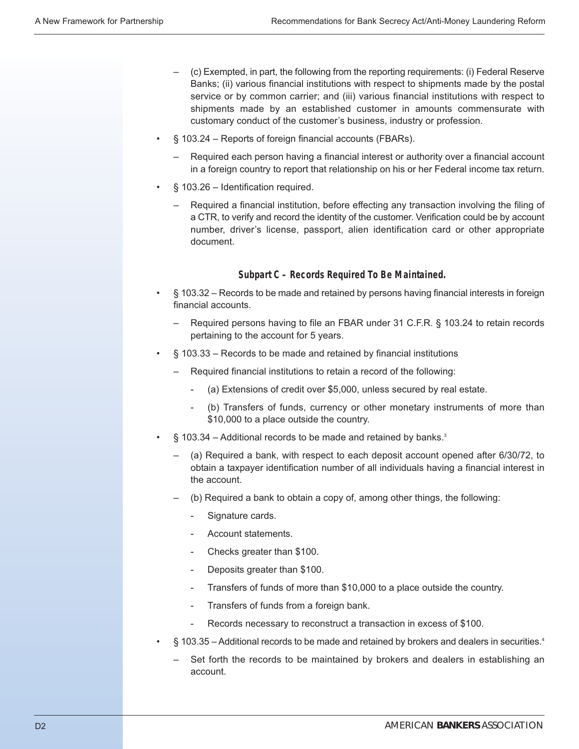- (c) Exempted, in part, the following from the reporting requirements: (i) Federal Reserve Banks; (ii) various financial institutions with respect to shipments made by the postal service or by common carrier; and (iii) various financial institutions with respect to shipments made by an established customer in amounts commensurate with customary conduct of the customer's business, industry or profession.
- § 103.24 Reports of foreign financial accounts (FBARs).
	- Required each person having a financial interest or authority over a financial account in a foreign country to report that relationship on his or her Federal income tax return.
- § 103.26 Identification required.
	- Required a financial institution, before effecting any transaction involving the filing of a CTR, to verify and record the identity of the customer. Verification could be by account number, driver's license, passport, alien identification card or other appropriate document.

#### **Subpart C – Records Required To Be Maintained.**

- § 103.32 Records to be made and retained by persons having financial interests in foreign financial accounts.
	- Required persons having to file an FBAR under 31 C.F.R. § 103.24 to retain records pertaining to the account for 5 years.
- § 103.33 Records to be made and retained by financial institutions
	- Required financial institutions to retain a record of the following:
		- (a) Extensions of credit over \$5,000, unless secured by real estate.
		- (b) Transfers of funds, currency or other monetary instruments of more than \$10,000 to a place outside the country.
- $\S$  103.34 Additional records to be made and retained by banks.<sup>3</sup>
	- (a) Required a bank, with respect to each deposit account opened after 6/30/72, to obtain a taxpayer identification number of all individuals having a financial interest in the account.
	- (b) Required a bank to obtain a copy of, among other things, the following:
		- Signature cards.
		- Account statements.
		- Checks greater than \$100.
		- Deposits greater than \$100.
		- Transfers of funds of more than \$10,000 to a place outside the country.
		- Transfers of funds from a foreign bank.
		- Records necessary to reconstruct a transaction in excess of \$100.
- § 103.35 Additional records to be made and retained by brokers and dealers in securities.<sup>4</sup>
	- Set forth the records to be maintained by brokers and dealers in establishing an account.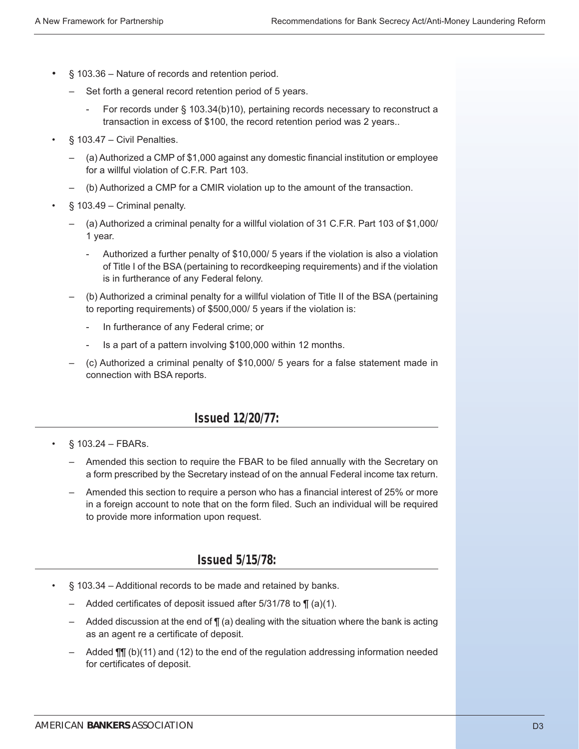- § 103.36 Nature of records and retention period.
	- Set forth a general record retention period of 5 years.
		- For records under § 103.34(b)10), pertaining records necessary to reconstruct a transaction in excess of \$100, the record retention period was 2 years..
- § 103.47 Civil Penalties.
	- (a) Authorized a CMP of \$1,000 against any domestic financial institution or employee for a willful violation of C.F.R. Part 103.
	- (b) Authorized a CMP for a CMIR violation up to the amount of the transaction.
- $§$  103.49 Criminal penalty.
	- (a) Authorized a criminal penalty for a willful violation of 31 C.F.R. Part 103 of \$1,000/ 1 year.
		- Authorized a further penalty of \$10,000/ 5 years if the violation is also a violation of Title I of the BSA (pertaining to recordkeeping requirements) and if the violation is in furtherance of any Federal felony.
	- (b) Authorized a criminal penalty for a willful violation of Title II of the BSA (pertaining to reporting requirements) of \$500,000/ 5 years if the violation is:
		- In furtherance of any Federal crime; or
		- Is a part of a pattern involving \$100,000 within 12 months.
	- (c) Authorized a criminal penalty of \$10,000/ 5 years for a false statement made in connection with BSA reports.

### **Issued 12/20/77:**

- $§ 103.24 FBARs.$ 
	- Amended this section to require the FBAR to be filed annually with the Secretary on a form prescribed by the Secretary instead of on the annual Federal income tax return.
	- Amended this section to require a person who has a financial interest of 25% or more in a foreign account to note that on the form filed. Such an individual will be required to provide more information upon request.

### **Issued 5/15/78:**

- § 103.34 Additional records to be made and retained by banks.
	- Added certificates of deposit issued after 5/31/78 to ¶ (a)(1).
	- Added discussion at the end of  $\P$  (a) dealing with the situation where the bank is acting as an agent re a certificate of deposit.
	- $-$  Added  $\P\P$  (b)(11) and (12) to the end of the regulation addressing information needed for certificates of deposit.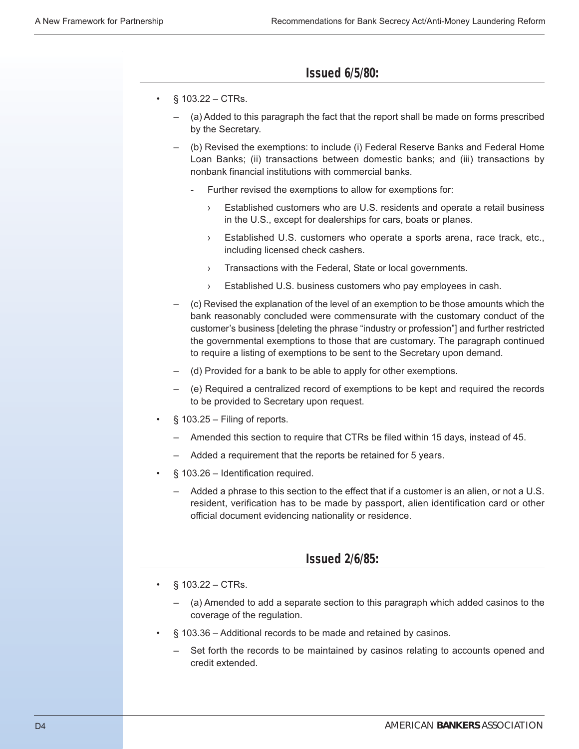### **Issued 6/5/80:**

- $§ 103.22 CTRs.$ 
	- (a) Added to this paragraph the fact that the report shall be made on forms prescribed by the Secretary.
	- (b) Revised the exemptions: to include (i) Federal Reserve Banks and Federal Home Loan Banks; (ii) transactions between domestic banks; and (iii) transactions by nonbank financial institutions with commercial banks.
		- Further revised the exemptions to allow for exemptions for:
			- › Established customers who are U.S. residents and operate a retail business in the U.S., except for dealerships for cars, boats or planes.
			- › Established U.S. customers who operate a sports arena, race track, etc., including licensed check cashers.
			- › Transactions with the Federal, State or local governments.
			- › Established U.S. business customers who pay employees in cash.
	- (c) Revised the explanation of the level of an exemption to be those amounts which the bank reasonably concluded were commensurate with the customary conduct of the customer's business [deleting the phrase "industry or profession"] and further restricted the governmental exemptions to those that are customary. The paragraph continued to require a listing of exemptions to be sent to the Secretary upon demand.
	- (d) Provided for a bank to be able to apply for other exemptions.
	- (e) Required a centralized record of exemptions to be kept and required the records to be provided to Secretary upon request.
- $§$  103.25 Filing of reports.
	- Amended this section to require that CTRs be filed within 15 days, instead of 45.
	- Added a requirement that the reports be retained for 5 years.
- § 103.26 Identification required.
	- Added a phrase to this section to the effect that if a customer is an alien, or not a U.S. resident, verification has to be made by passport, alien identification card or other official document evidencing nationality or residence.

### **Issued 2/6/85:**

- $§ 103.22 CTRs.$ 
	- (a) Amended to add a separate section to this paragraph which added casinos to the coverage of the regulation.
- § 103.36 Additional records to be made and retained by casinos.
	- Set forth the records to be maintained by casinos relating to accounts opened and credit extended.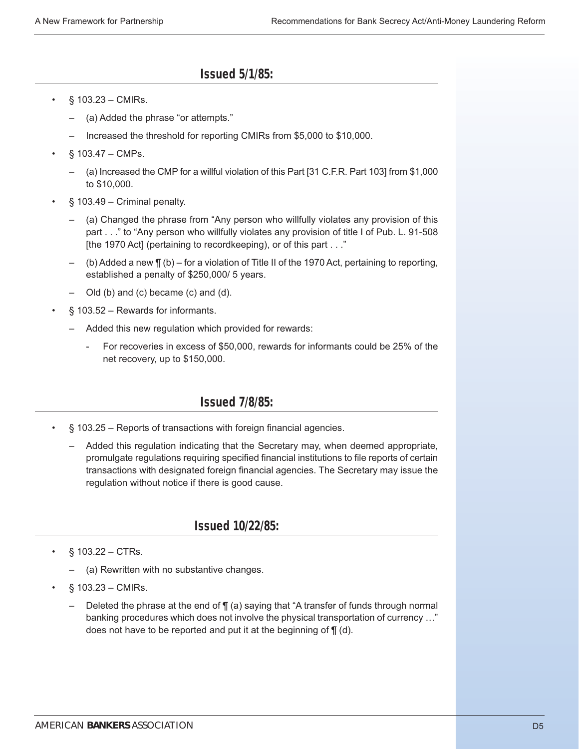# **Issued 5/1/85:**

- § 103.23 CMIRs.
	- (a) Added the phrase "or attempts."
	- Increased the threshold for reporting CMIRs from \$5,000 to \$10,000.
- § 103.47 CMPs.
	- (a) Increased the CMP for a willful violation of this Part [31 C.F.R. Part 103] from \$1,000 to \$10,000.
- § 103.49 Criminal penalty.
	- (a) Changed the phrase from "Any person who willfully violates any provision of this part . . ." to "Any person who willfully violates any provision of title I of Pub. L. 91-508 [the 1970 Act] (pertaining to recordkeeping), or of this part . . ."
	- (b) Added a new ¶ (b) for a violation of Title II of the 1970 Act, pertaining to reporting, established a penalty of \$250,000/ 5 years.
	- Old (b) and (c) became (c) and (d).
- § 103.52 Rewards for informants.
	- Added this new regulation which provided for rewards:
		- For recoveries in excess of \$50,000, rewards for informants could be 25% of the net recovery, up to \$150,000.

# **Issued 7/8/85:**

- § 103.25 Reports of transactions with foreign financial agencies.
	- Added this regulation indicating that the Secretary may, when deemed appropriate, promulgate regulations requiring specified financial institutions to file reports of certain transactions with designated foreign financial agencies. The Secretary may issue the regulation without notice if there is good cause.

# **Issued 10/22/85:**

- § 103.22 CTRs.
	- (a) Rewritten with no substantive changes.
- § 103.23 CMIRs.
	- Deleted the phrase at the end of  $\P$  (a) saying that "A transfer of funds through normal banking procedures which does not involve the physical transportation of currency …" does not have to be reported and put it at the beginning of ¶ (d).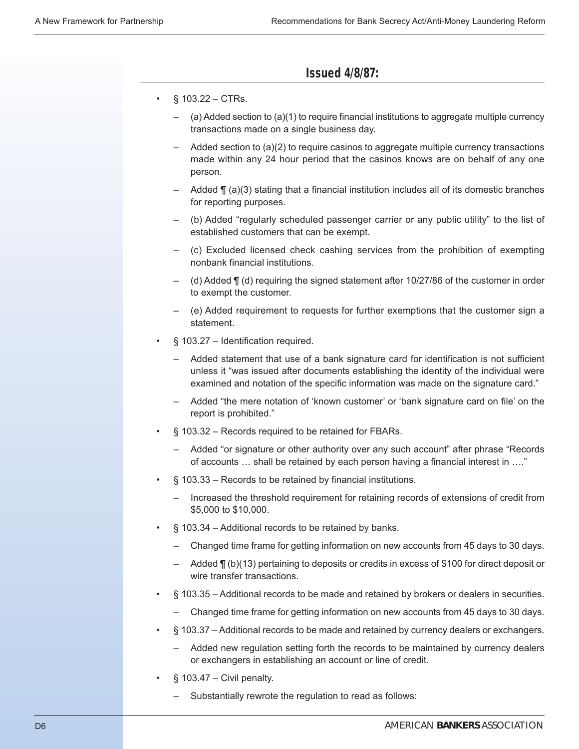### **Issued 4/8/87:**

- $§ 103.22 CTRs.$ 
	- (a) Added section to  $(a)(1)$  to require financial institutions to aggregate multiple currency transactions made on a single business day.
	- Added section to (a)(2) to require casinos to aggregate multiple currency transactions made within any 24 hour period that the casinos knows are on behalf of any one person.
	- Added  $\P$  (a)(3) stating that a financial institution includes all of its domestic branches for reporting purposes.
	- (b) Added "regularly scheduled passenger carrier or any public utility" to the list of established customers that can be exempt.
	- (c) Excluded licensed check cashing services from the prohibition of exempting nonbank financial institutions.
	- (d) Added ¶ (d) requiring the signed statement after 10/27/86 of the customer in order to exempt the customer.
	- (e) Added requirement to requests for further exemptions that the customer sign a statement.
- § 103.27 Identification required.
	- Added statement that use of a bank signature card for identification is not sufficient unless it "was issued after documents establishing the identity of the individual were examined and notation of the specific information was made on the signature card."
	- Added "the mere notation of 'known customer' or 'bank signature card on file' on the report is prohibited."
- § 103.32 Records required to be retained for FBARs.
	- Added "or signature or other authority over any such account" after phrase "Records of accounts … shall be retained by each person having a financial interest in …."
- § 103.33 Records to be retained by financial institutions.
	- Increased the threshold requirement for retaining records of extensions of credit from \$5,000 to \$10,000.
- § 103.34 Additional records to be retained by banks.
	- Changed time frame for getting information on new accounts from 45 days to 30 days.
	- Added ¶ (b)(13) pertaining to deposits or credits in excess of \$100 for direct deposit or wire transfer transactions.
- § 103.35 Additional records to be made and retained by brokers or dealers in securities.
	- Changed time frame for getting information on new accounts from 45 days to 30 days.
- § 103.37 Additional records to be made and retained by currency dealers or exchangers.
	- Added new regulation setting forth the records to be maintained by currency dealers or exchangers in establishing an account or line of credit.
- $§$  103.47 Civil penalty.
	- Substantially rewrote the regulation to read as follows: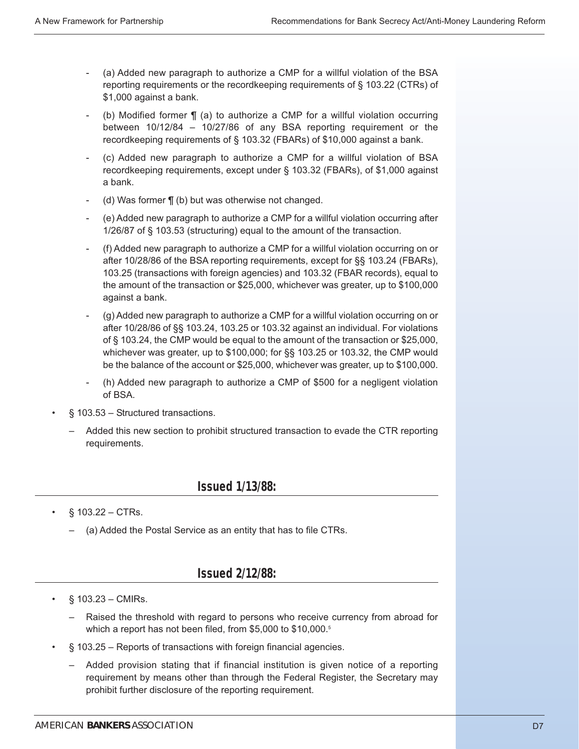- (a) Added new paragraph to authorize a CMP for a willful violation of the BSA reporting requirements or the recordkeeping requirements of § 103.22 (CTRs) of \$1,000 against a bank.
- (b) Modified former  $\P$  (a) to authorize a CMP for a willful violation occurring between 10/12/84 – 10/27/86 of any BSA reporting requirement or the recordkeeping requirements of § 103.32 (FBARs) of \$10,000 against a bank.
- (c) Added new paragraph to authorize a CMP for a willful violation of BSA recordkeeping requirements, except under § 103.32 (FBARs), of \$1,000 against a bank.
- (d) Was former  $\P$  (b) but was otherwise not changed.
- (e) Added new paragraph to authorize a CMP for a willful violation occurring after 1/26/87 of § 103.53 (structuring) equal to the amount of the transaction.
- (f) Added new paragraph to authorize a CMP for a willful violation occurring on or after 10/28/86 of the BSA reporting requirements, except for §§ 103.24 (FBARs), 103.25 (transactions with foreign agencies) and 103.32 (FBAR records), equal to the amount of the transaction or \$25,000, whichever was greater, up to \$100,000 against a bank.
- (g) Added new paragraph to authorize a CMP for a willful violation occurring on or after 10/28/86 of §§ 103.24, 103.25 or 103.32 against an individual. For violations of § 103.24, the CMP would be equal to the amount of the transaction or \$25,000, whichever was greater, up to \$100,000; for §§ 103.25 or 103.32, the CMP would be the balance of the account or \$25,000, whichever was greater, up to \$100,000.
- (h) Added new paragraph to authorize a CMP of \$500 for a negligent violation of BSA.
- § 103.53 Structured transactions.
	- Added this new section to prohibit structured transaction to evade the CTR reporting requirements.

### **Issued 1/13/88:**

- $§ 103.22 CTRs.$ 
	- (a) Added the Postal Service as an entity that has to file CTRs.

### **Issued 2/12/88:**

- § 103.23 CMIRs.
	- Raised the threshold with regard to persons who receive currency from abroad for which a report has not been filed, from \$5,000 to \$10,000.<sup>5</sup>
- § 103.25 Reports of transactions with foreign financial agencies.
	- Added provision stating that if financial institution is given notice of a reporting requirement by means other than through the Federal Register, the Secretary may prohibit further disclosure of the reporting requirement.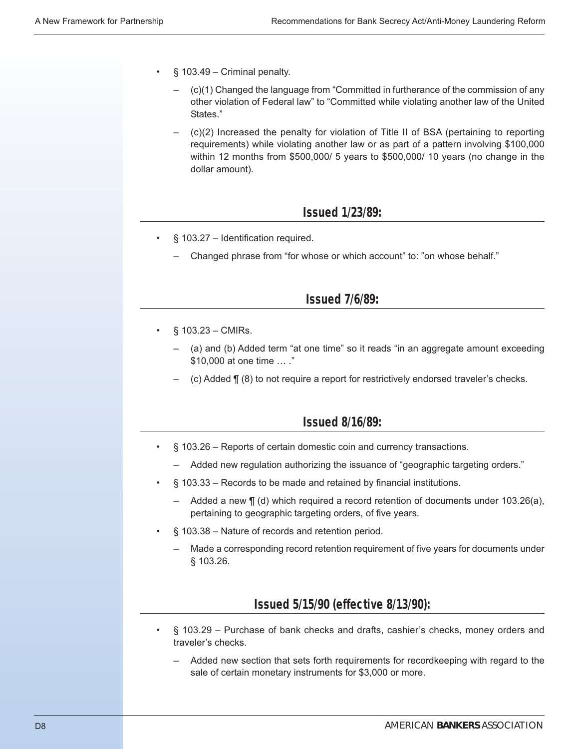- $§$  103.49 Criminal penalty.
	- (c)(1) Changed the language from "Committed in furtherance of the commission of any other violation of Federal law" to "Committed while violating another law of the United States."
	- (c)(2) Increased the penalty for violation of Title II of BSA (pertaining to reporting requirements) while violating another law or as part of a pattern involving \$100,000 within 12 months from \$500,000/ 5 years to \$500,000/ 10 years (no change in the dollar amount).

### **Issued 1/23/89:**

- § 103.27 Identification required.
	- Changed phrase from "for whose or which account" to: "on whose behalf."

### **Issued 7/6/89:**

- $§ 103.23 CMIRs.$ 
	- (a) and (b) Added term "at one time" so it reads "in an aggregate amount exceeding \$10,000 at one time … ."
	- (c) Added ¶ (8) to not require a report for restrictively endorsed traveler's checks.

### **Issued 8/16/89:**

- § 103.26 Reports of certain domestic coin and currency transactions.
	- Added new regulation authorizing the issuance of "geographic targeting orders."
- § 103.33 Records to be made and retained by financial institutions.
	- Added a new ¶ (d) which required a record retention of documents under 103.26(a), pertaining to geographic targeting orders, of five years.
- § 103.38 Nature of records and retention period.
	- Made a corresponding record retention requirement of five years for documents under § 103.26.

# **Issued 5/15/90 (effective 8/13/90):**

- § 103.29 Purchase of bank checks and drafts, cashier's checks, money orders and traveler's checks.
	- Added new section that sets forth requirements for recordkeeping with regard to the sale of certain monetary instruments for \$3,000 or more.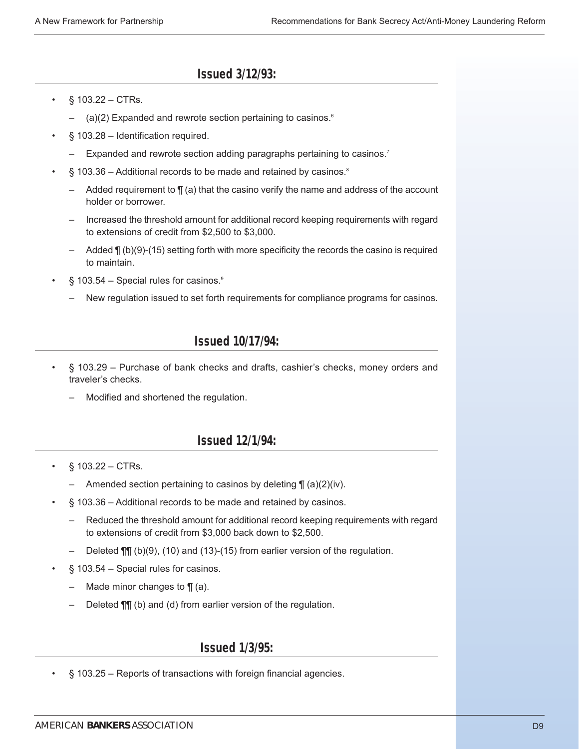# **Issued 3/12/93:**

- $§ 103.22 CTRs.$ 
	- $-$  (a)(2) Expanded and rewrote section pertaining to casinos.<sup>6</sup>
- § 103.28 Identification required.
	- Expanded and rewrote section adding paragraphs pertaining to casinos.<sup>7</sup>
- § 103.36 Additional records to be made and retained by casinos.<sup>8</sup>
	- Added requirement to  $\P$  (a) that the casino verify the name and address of the account holder or borrower.
	- Increased the threshold amount for additional record keeping requirements with regard to extensions of credit from \$2,500 to \$3,000.
	- Added ¶ (b)(9)-(15) setting forth with more specificity the records the casino is required to maintain.
- $\S$  103.54 Special rules for casinos.<sup>9</sup>
	- New regulation issued to set forth requirements for compliance programs for casinos.

# **Issued 10/17/94:**

- § 103.29 Purchase of bank checks and drafts, cashier's checks, money orders and traveler's checks.
	- Modified and shortened the regulation.

# **Issued 12/1/94:**

- $$103.22 CTRs.$ 
	- Amended section pertaining to casinos by deleting  $\P$  (a)(2)(iv).
- § 103.36 Additional records to be made and retained by casinos.
	- Reduced the threshold amount for additional record keeping requirements with regard to extensions of credit from \$3,000 back down to \$2,500.
	- Deleted ¶¶ (b)(9), (10) and (13)-(15) from earlier version of the regulation.
- § 103.54 Special rules for casinos.
	- Made minor changes to  $\P$  (a).
	- Deleted ¶¶ (b) and (d) from earlier version of the regulation.

# **Issued 1/3/95:**

§ 103.25 – Reports of transactions with foreign financial agencies.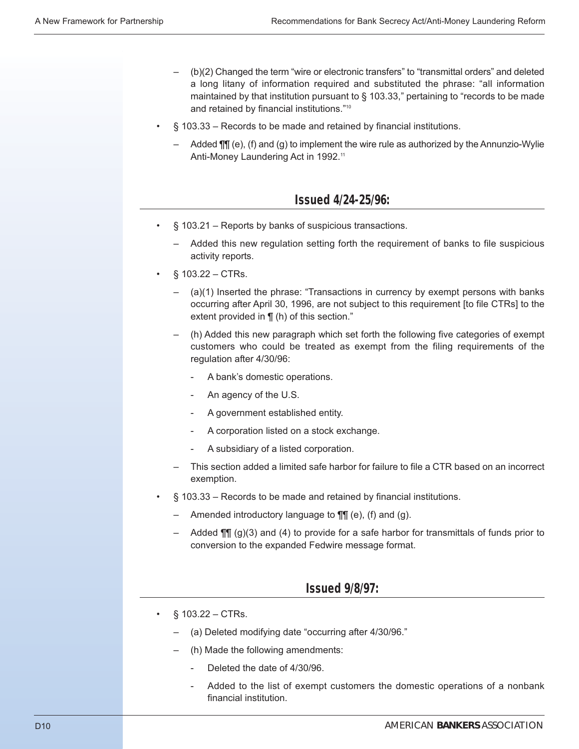- (b)(2) Changed the term "wire or electronic transfers" to "transmittal orders" and deleted a long litany of information required and substituted the phrase: "all information maintained by that institution pursuant to § 103.33," pertaining to "records to be made and retained by financial institutions."10
- § 103.33 Records to be made and retained by financial institutions.
	- Added  $\P\P$  (e), (f) and (g) to implement the wire rule as authorized by the Annunzio-Wylie Anti-Money Laundering Act in 1992.<sup>11</sup>

### **Issued 4/24-25/96:**

- § 103.21 Reports by banks of suspicious transactions.
	- Added this new regulation setting forth the requirement of banks to file suspicious activity reports.
- $§ 103.22 CTRs.$ 
	- $(a)(1)$  Inserted the phrase: "Transactions in currency by exempt persons with banks occurring after April 30, 1996, are not subject to this requirement [to file CTRs] to the extent provided in ¶ (h) of this section."
	- (h) Added this new paragraph which set forth the following five categories of exempt customers who could be treated as exempt from the filing requirements of the regulation after 4/30/96:
		- A bank's domestic operations.
		- An agency of the U.S.
		- A government established entity.
		- A corporation listed on a stock exchange.
		- A subsidiary of a listed corporation.
	- This section added a limited safe harbor for failure to file a CTR based on an incorrect exemption.
- § 103.33 Records to be made and retained by financial institutions.
	- Amended introductory language to  $\P\P$  (e), (f) and (g).
	- Added  $\P\P$  (g)(3) and (4) to provide for a safe harbor for transmittals of funds prior to conversion to the expanded Fedwire message format.

### **Issued 9/8/97:**

- § 103.22 CTRs.
	- (a) Deleted modifying date "occurring after 4/30/96."
	- (h) Made the following amendments:
		- Deleted the date of 4/30/96.
		- Added to the list of exempt customers the domestic operations of a nonbank financial institution.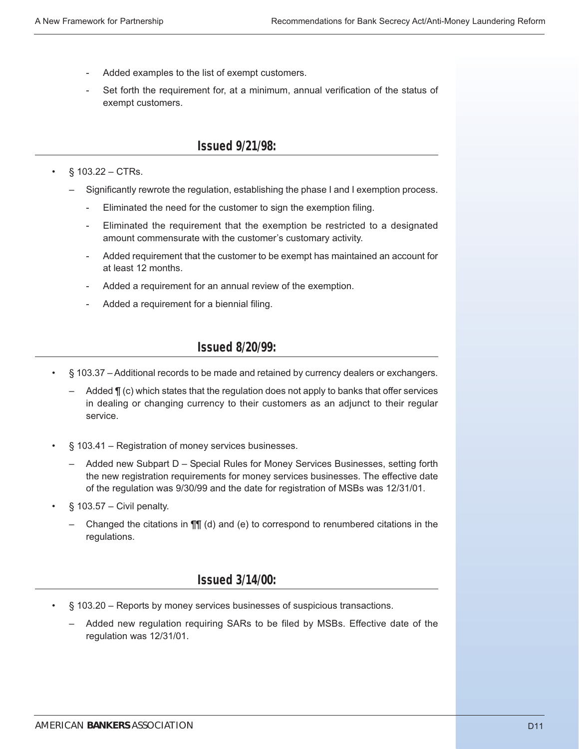- Added examples to the list of exempt customers.
- Set forth the requirement for, at a minimum, annual verification of the status of exempt customers.

#### **Issued 9/21/98:**

#### •  $§ 103.22 - CTRs.$

- Significantly rewrote the regulation, establishing the phase I and I exemption process.
	- Eliminated the need for the customer to sign the exemption filing.
	- Eliminated the requirement that the exemption be restricted to a designated amount commensurate with the customer's customary activity.
	- Added requirement that the customer to be exempt has maintained an account for at least 12 months.
	- Added a requirement for an annual review of the exemption.
	- Added a requirement for a biennial filing.

### **Issued 8/20/99:**

- § 103.37 Additional records to be made and retained by currency dealers or exchangers.
	- Added  $\P$  (c) which states that the regulation does not apply to banks that offer services in dealing or changing currency to their customers as an adjunct to their regular service.
- § 103.41 Registration of money services businesses.
	- Added new Subpart D Special Rules for Money Services Businesses, setting forth the new registration requirements for money services businesses. The effective date of the regulation was 9/30/99 and the date for registration of MSBs was 12/31/01.
- $§ 103.57 -$  Civil penalty.
	- Changed the citations in ¶¶ (d) and (e) to correspond to renumbered citations in the regulations.

### **Issued 3/14/00:**

- § 103.20 Reports by money services businesses of suspicious transactions.
	- Added new regulation requiring SARs to be filed by MSBs. Effective date of the regulation was 12/31/01.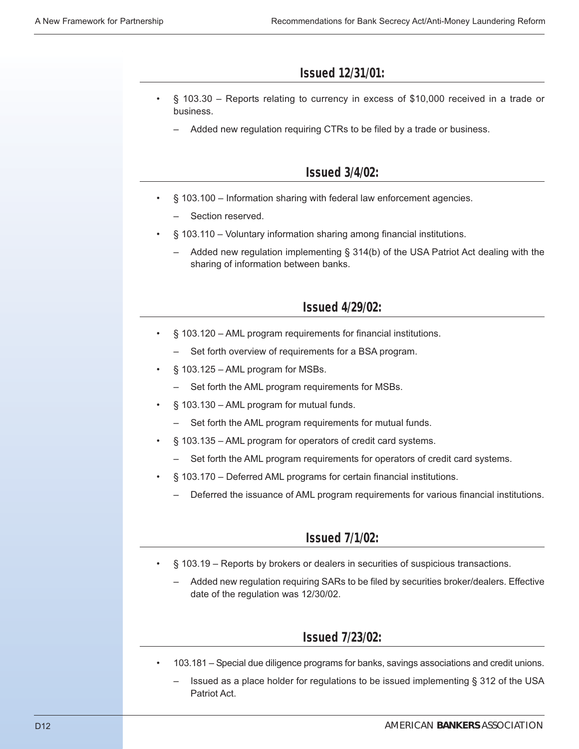### **Issued 12/31/01:**

- § 103.30 Reports relating to currency in excess of \$10,000 received in a trade or business.
	- Added new regulation requiring CTRs to be filed by a trade or business.

### **Issued 3/4/02:**

- § 103.100 Information sharing with federal law enforcement agencies.
	- Section reserved.
- § 103.110 Voluntary information sharing among financial institutions.
	- Added new regulation implementing  $\S$  314(b) of the USA Patriot Act dealing with the sharing of information between banks.

### **Issued 4/29/02:**

- § 103.120 AML program requirements for financial institutions.
	- Set forth overview of requirements for a BSA program.
- § 103.125 AML program for MSBs.
	- Set forth the AML program requirements for MSBs.
- § 103.130 AML program for mutual funds.
	- Set forth the AML program requirements for mutual funds.
- § 103.135 AML program for operators of credit card systems.
	- Set forth the AML program requirements for operators of credit card systems.
- § 103.170 Deferred AML programs for certain financial institutions.
	- Deferred the issuance of AML program requirements for various financial institutions.

### **Issued 7/1/02:**

- § 103.19 Reports by brokers or dealers in securities of suspicious transactions.
	- Added new regulation requiring SARs to be filed by securities broker/dealers. Effective date of the regulation was 12/30/02.

### **Issued 7/23/02:**

- 103.181 Special due diligence programs for banks, savings associations and credit unions.
	- Issued as a place holder for regulations to be issued implementing § 312 of the USA Patriot Act.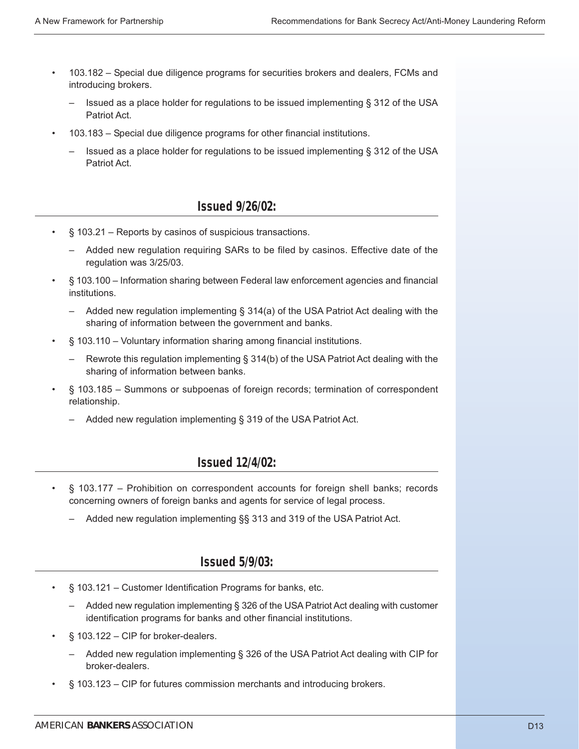- 103.182 Special due diligence programs for securities brokers and dealers, FCMs and introducing brokers.
	- Issued as a place holder for regulations to be issued implementing § 312 of the USA Patriot Act.
- 103.183 Special due diligence programs for other financial institutions.
	- Issued as a place holder for regulations to be issued implementing § 312 of the USA Patriot Act.

# **Issued 9/26/02:**

- § 103.21 Reports by casinos of suspicious transactions.
	- Added new regulation requiring SARs to be filed by casinos. Effective date of the regulation was 3/25/03.
- § 103.100 Information sharing between Federal law enforcement agencies and financial institutions.
	- Added new regulation implementing § 314(a) of the USA Patriot Act dealing with the sharing of information between the government and banks.
- § 103.110 Voluntary information sharing among financial institutions.
	- Rewrote this regulation implementing § 314(b) of the USA Patriot Act dealing with the sharing of information between banks.
- § 103.185 Summons or subpoenas of foreign records; termination of correspondent relationship.
	- Added new regulation implementing § 319 of the USA Patriot Act.

# **Issued 12/4/02:**

- § 103.177 Prohibition on correspondent accounts for foreign shell banks; records concerning owners of foreign banks and agents for service of legal process.
	- Added new regulation implementing §§ 313 and 319 of the USA Patriot Act.

### **Issued 5/9/03:**

- § 103.121 Customer Identification Programs for banks, etc.
	- Added new regulation implementing § 326 of the USA Patriot Act dealing with customer identification programs for banks and other financial institutions.
- § 103.122 CIP for broker-dealers.
	- Added new regulation implementing § 326 of the USA Patriot Act dealing with CIP for broker-dealers.
- § 103.123 CIP for futures commission merchants and introducing brokers.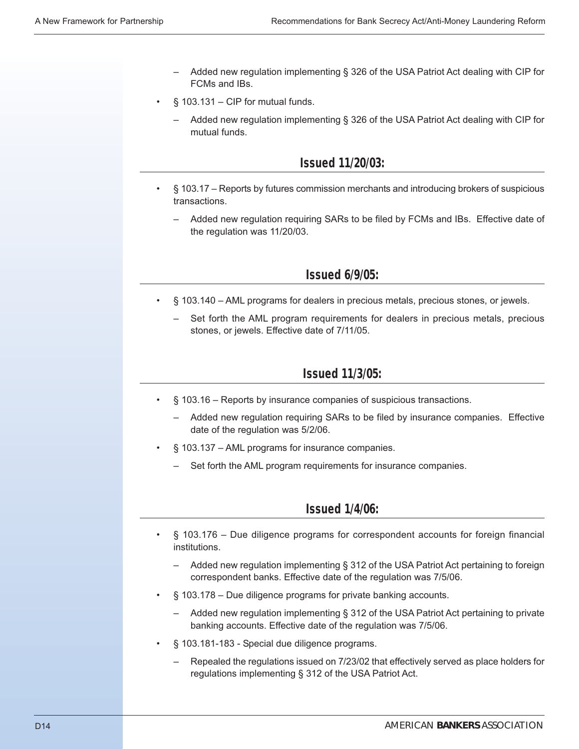- Added new regulation implementing § 326 of the USA Patriot Act dealing with CIP for FCMs and IBs.
- $§$  103.131 CIP for mutual funds.
	- Added new regulation implementing § 326 of the USA Patriot Act dealing with CIP for mutual funds.

### **Issued 11/20/03:**

- § 103.17 Reports by futures commission merchants and introducing brokers of suspicious transactions.
	- Added new regulation requiring SARs to be filed by FCMs and IBs. Effective date of the regulation was 11/20/03.

### **Issued 6/9/05:**

- § 103.140 AML programs for dealers in precious metals, precious stones, or jewels.
	- Set forth the AML program requirements for dealers in precious metals, precious stones, or jewels. Effective date of 7/11/05.

### **Issued 11/3/05:**

- § 103.16 Reports by insurance companies of suspicious transactions.
	- Added new regulation requiring SARs to be filed by insurance companies. Effective date of the regulation was 5/2/06.
- § 103.137 AML programs for insurance companies.
	- Set forth the AML program requirements for insurance companies.

### **Issued 1/4/06:**

- § 103.176 Due diligence programs for correspondent accounts for foreign financial institutions.
	- Added new regulation implementing § 312 of the USA Patriot Act pertaining to foreign correspondent banks. Effective date of the regulation was 7/5/06.
- § 103.178 Due diligence programs for private banking accounts.
	- Added new regulation implementing § 312 of the USA Patriot Act pertaining to private banking accounts. Effective date of the regulation was 7/5/06.
- § 103.181-183 Special due diligence programs.
	- Repealed the regulations issued on 7/23/02 that effectively served as place holders for regulations implementing § 312 of the USA Patriot Act.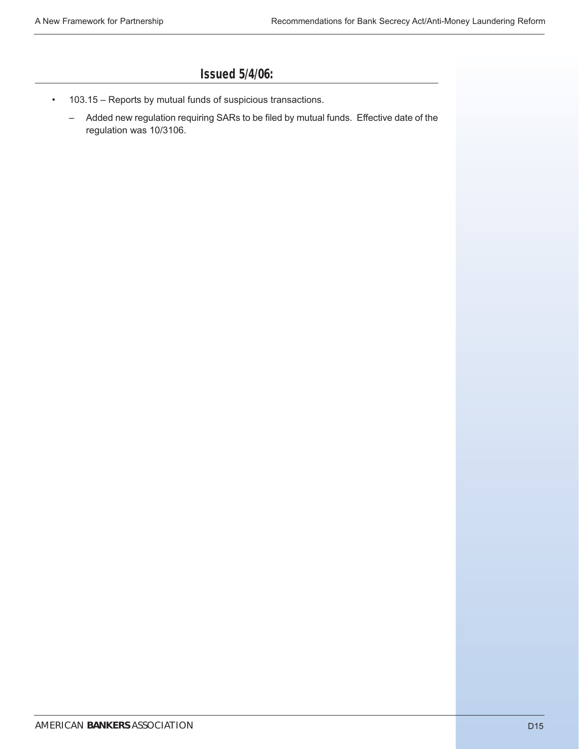# **Issued 5/4/06:**

- 103.15 Reports by mutual funds of suspicious transactions.
	- Added new regulation requiring SARs to be filed by mutual funds. Effective date of the regulation was 10/3106.